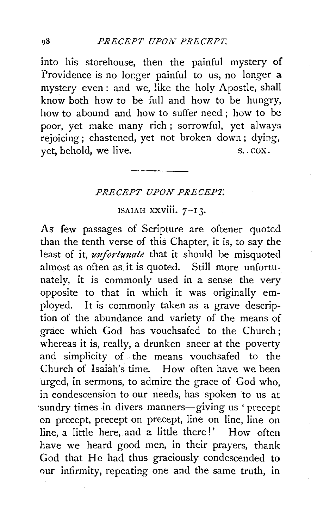into his storehouse, then the painful mystery of Providence is no longer painful to us, no longer a mystery even: and we, !ike the holy Apostle, shall know both how to be full and how to be hungry, how to abound and how to suffer need ; how to be poor, yet make many rich ; sorrowful, yet always rejoicing; chastened, yet not broken down ; dying, yet, behold, we live. S. COX.

## PRECEPT UPON PRECEP7;

## ISAIAH  $xxviii. 7-13.$

As few passages of Scripture are oftener quoted than the tenth verse of this Chapter, it is, to say the least of it, *unfortunate* that it should be misquoted almost as often as it is quoted. Still more unfortunately, it is commonly used in a sense the very opposite to that in which it was originally employed. It is commonly taken as a grave description of the abundance and variety of the means of grace which God has vouchsafed to the Church ; whereas it is, really, a drunken sneer at the poverty and simplicity of the means vouchsafed to the Church of Isaiah's time. How often have we been urged, in sermons, to admire the grace of God who, in condescension to our needs, has spoken to us at ·sundry times in divers manners-giving us ' precept on precept, precept on precept, line on line, line on line, a little here, and a little there!' How often have we heard good men, in their prayers, thank God that He had thus graciously condescended to our infirmity, repeating one and the same truth, in

08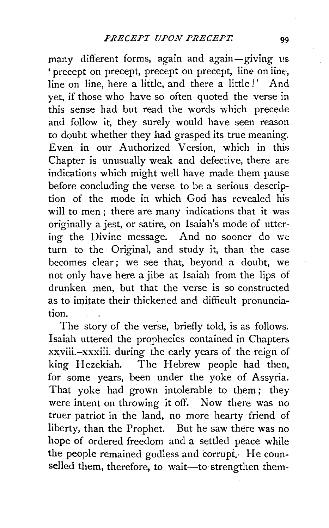many different forms, again and again-giving us \* precept on precept, precept on precept, line on line, line on line, here a little, and there a little!' And yet, if those who have so often quoted the verse in this sense had but read the words which precede and follow it, they surely would have seen reason to doubt whether they had grasped its true meaning. Even in our Authorized Version, which in this Chapter is unusually weak and defective, there are indications which might well have made them pause before concluding the verse to be a serious description of the mode in which God has revealed his will to men; there are many indications that it was originally a jest, or satire, on Isaiah's mode of uttering the Divine message. And no sooner do we turn to the Original, and study it, than the case becomes clear; we see that, beyond a doubt, we not only have here a jibe at Isaiah from the lips of drunken. men, but that the verse is so constructed as to imitate their thickened and difficult pronunciation.

The story of the verse, briefly told, is as follows. Isaiah uttered the prophecies contained in Chapters xxviii.-xxxiii. during the early years of the reign of king Hezekiah. The Hebrew people had then, for some years, been under the yoke of Assyria. That yoke had grown intolerable to them; they were intent on throwing it off. Now there was no truer patriot in the land, no more hearty friend of liberty, than the Prophet. But he saw there was no hope of ordered freedom and a settled peace while the people remained godless and corrupt. He counselled them, therefore, to wait-to strengthen them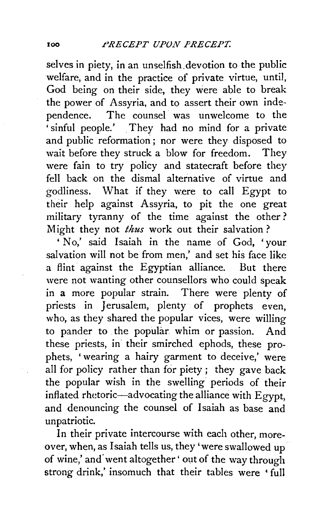selves in piety, in an unselfish.devotion to the public welfare, and in the practice of private virtue, until, God being on their side, they were able to break the power of Assyria, and to assert their own independence. The counsel was unwelcome to the 'sinful people.' . They had no mind for a private and public reformation ; nor were they disposed to wait before they struck a blow for freedom. They were fain to try policy and statecraft before they fell back on the dismal alternative of virtue and godliness. What if they were to call Egypt to their help against Assyria, to pit the one great military tyranny of the time against the other ? Might they not *thus* work out their salvation ?

' No,' said Isaiah in the name of God, 'your salvation will not be from men,' and set his face like a flint against the Egyptian alliance. But there were not wanting other counsellors who could speak in a more popular strain. There were plenty of priests in Jerusalem, plenty of prophets even, who, as they shared the popular vices, were willing to pander to the popular. whim or passion. And these priests, in their smirched ephods, these prophets, 'wearing a hairy garment to deceive,' were all for policy rather than for piety; they gave back the popular wish in the swelling periods of their inflated rhetoric-advocating the alliance with Egypt, and denouncing the counsel of Isaiah as base and unpatriotic.

In their private intercourse with each other, moreover, when, as Isaiah tells us, they 'were swallowed up of wine,' and went altogether ' out of the way through strong drink,' insomuch that their tables were 'full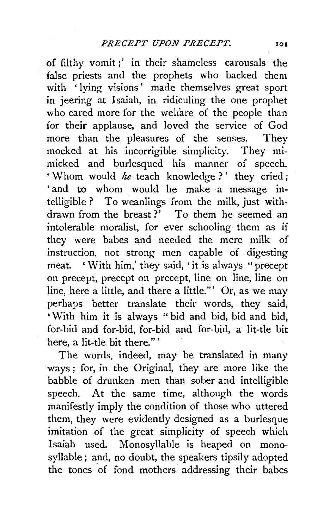of filthy vomit;' in their shameless carousals the false priests and the prophets who backed them with 'lying visions' made themselves great sport in jeering at Isaiah, in ridiculing the one prophet who cared more for the weliare of the people than for their applause, and loved the service of God more than the pleasures of the senses. They mocked at his incorrigible simplicity. They mimicked and burlesqued his manner of speech. 'Whom would *he* teach knowledge?' they cried; 'and to whom would he make a message intelligible ? To weanlings from the milk, just withdrawn from the breast?<sup>7</sup> To them he seemed an intolerable moralist, for ever schooling them as if they were babes and needed the mere milk of instruction, not strong men capable of digesting meat. ' With him,' they said, 'it is always ''precept on precept, precept on precept, line on line, line on line, here a little, and there a little."' Or, as we may perhaps better translate their words, they said, 'With him it is always " bid and bid, bid and bid, for-bid and for-bid, for-bid and for-bid, a lit-tle bit here, a lit-tle bit there."'

The words, indeed, may be translated in many ways ; for, in the Original, they are more like the babble of drunken men than sober and intelligible speech. At the same time, although the words manifestly imply the condition of those who uttered them, they were evidently designed as a burlesque imitation of the great simplicity of speech which Isaiah used. Monosyllable is heaped on monosyllable; and, no doubt, the speakers tipsily adopted the tones of fond mothers addressing their babes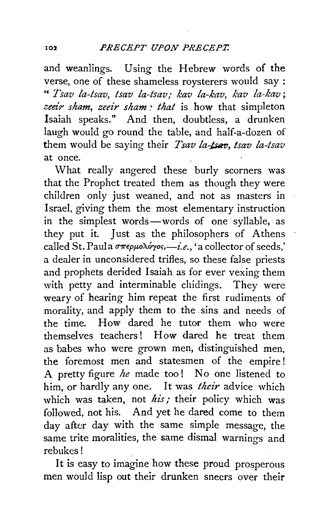and weanlings. Using the Hebrew words of the verse, one of these shameless roysterers would say : " *Tsav la-tsav, tsav la-tsav,- kav la-kav, kav la-kav;*  zeeir sham, zeeir sham: that is how that simpleton Isaiah speaks." And then, doubtless, a drunken laugh would go round the table, and half-a-dozen of them would be saying their *Tsav la-tsav*, *tsav la-tsav* at once.

What really angered these burly scorners was that the Prophet treated them as though they were children only just weaned, and not as masters in Israel, giving them the most elementary instruction in the simplest words-words of one syllable, as they put it. Just as the philosophers of Athens called St. Paula  $\sigma \pi \epsilon \rho \mu o \lambda \acute{o} \gamma \circ \varsigma$ ,  $i.e.,$  'a collector of seeds,' a dealer in unconsidered trifles, so these false priests and prophets derided Isaiah as for ever vexing them with petty and interminable chidings. They were weary of hearing him repeat the first rudiments of morality, and apply them to the sins and needs of the time. How dared he tutor them who were themselves teachers! How dared he treat them as babes who were grown men, distinguished men, the foremost men and statesmen of the empire! A pretty figure *he* made too! No one listened to him, or hardly any one. It was *their* advice which which was taken, not his; their policy which was followed, not his. And yet he dared come to them day after day with the same simple message, the same trite moralities, the same dismal warnings and rebukes!

It is easy to imagine how these proud prosperous men would lisp out their drunken sneers over their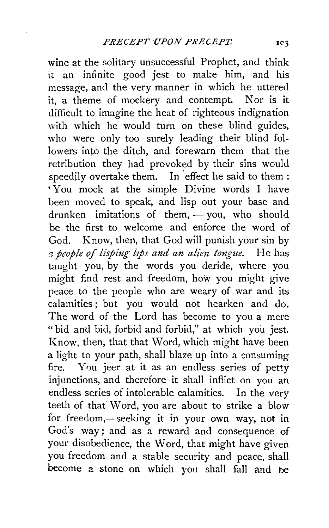wine at the solitary unsuccessful Prophet, and think it an infinite good jest to make him, and his message, and the very manner in which he uttered it, a theme of mockery and contempt. Nor is it difficult to imagine the heat of righteous indignation with which he would turn on these blind guides. who were only too surely leading their blind followers into the ditch, and forewarn them that the retribution they had provoked by their sins would speedily overtake them. In effect he said to them: 'You mock at the simple Divine words I have been moved to speak, and lisp out your base and drunken imitations of them,  $-$  you, who should be the first to welcome and enforce the word of God. Know, then, that God will punish your sin by *a people of lisping ltfs and an alim tongue.* He has taught you, by the words you deride, where you might find rest and freedom, how you might give peace to the people who are weary of war and its calamities ; but you would not hearken and do. The word of the Lord has become to you a mere "bid and bid, forbid and forbid," at which you jest. Know, then, that that Word, which might have been a light to your path, shall blaze up into a consuming fire. You jeer at it as an endless series of petty injunctions, and therefore it shall inflict on you an endless series of intolerable calamities. In the very teeth of that Word, you are about to strike a blow for freedom,-seeking it in your own way, not in God's way; and as a reward and consequence of your disobedience, the Word, that might have given you freedom and a stable security and peace, shall become a stone on which you shall fall and be